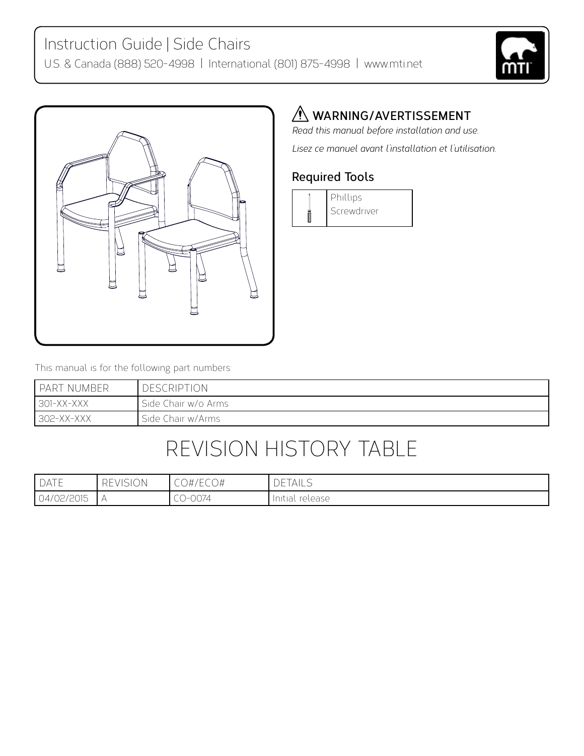



#### *A* WARNING/AVERTISSEMENT

*Read this manual before installation and use. Lisez ce manuel avant l'installation et l'utilisation.*

#### **Required Tools**



This manual is for the following part numbers:

| I PART NUMBER | <b>DESCRIPTION</b>  |
|---------------|---------------------|
| $1301-XX-XXX$ | Side Chair w/o Arms |
| 302-XX-XXX    | Side Chair w/Arms   |

# Revision History Table

| DATF       | ) IN<br>– –<br>╲┖<br>◡<br>ا ب | $1 - C$<br>)#/ECO# | <b>DETAILS</b>     |
|------------|-------------------------------|--------------------|--------------------|
| 04/02/2015 |                               | CO-0074            | release<br>Initial |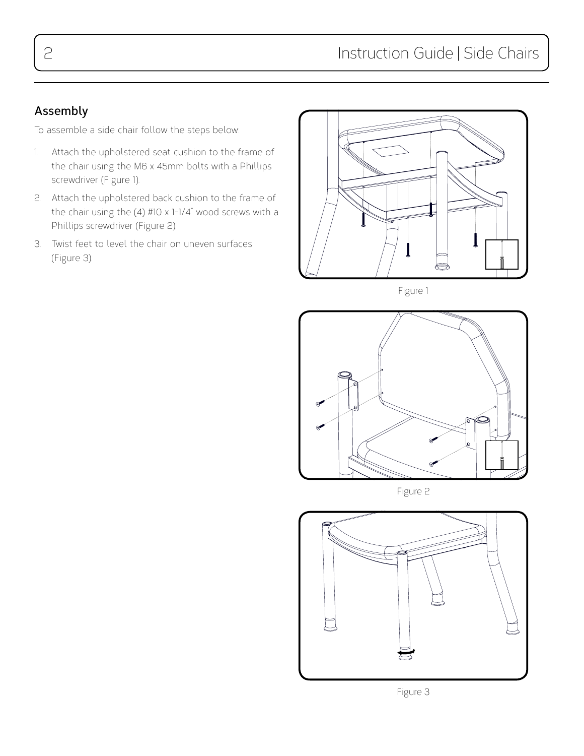#### **Assembly**

To assemble a side chair follow the steps below:

- 1. Attach the upholstered seat cushion to the frame of the chair using the M6 x 45mm bolts with a Phillips screwdriver (Figure 1).
- 2. Attach the upholstered back cushion to the frame of the chair using the (4) #10 x 1-1/4" wood screws with a Phillips screwdriver (Figure 2).
- 3. Twist feet to level the chair on uneven surfaces (Figure 3).



Figure 1



Figure 2



Figure 3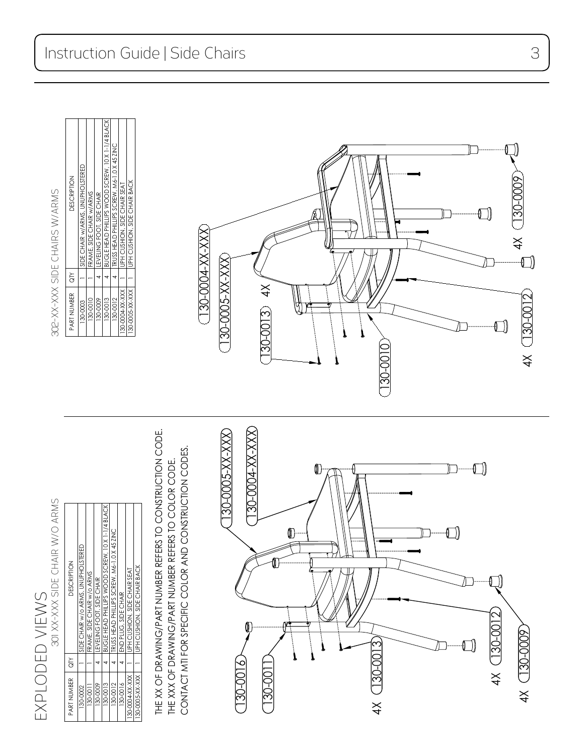| $\widetilde{G}$ | <b>DESCRIPTION</b>                               |
|-----------------|--------------------------------------------------|
|                 | SIDE CHAIR w/o ARMS, UNUPHOLSTERED               |
|                 | FRAME, SIDE CHAIR w/o ARMS                       |
|                 | LEVELING FOOT, SIDE CHAIR                        |
|                 | BUGLE HEAD PHILLIPS WOOD SCREW, 10 X 1-1/4 BLACK |
|                 | TRUSS HEAD PHILLIPS SCREW, M6-1.0 X 45 ZINC      |
|                 | END PLUG, SIDE CHAIR                             |
|                 | JPH CUSHION, SIDE CHAIR SEAT                     |
|                 | JPH CUSHION, SIDE CHAIR BACK                     |
|                 |                                                  |

THE XX OF DRAWING/PART NUMBER REFERS TO CONSTRUCTION CODE. THE XX OF DRAWING/PART NUMBER REFERS TO CONSTRUCTION CODE. CONTACT MTI FOR SPECIFIC COLOR AND CONSTRUCTION CODES. CONTACT MTI FOR SPECIFIC COLOR AND CONSTRUCTION CODES.THE XXX OF DRAWING/PART NUMBER REFERS TO COLOR CODE. THE XXX OF DRAWING/PART NUMBER REFERS TO COLOR CODE.



302-XX-XXX SIDE CHAIRS W/ARMS 301 xx-xxx side chair w/o arms 302-xx-xxx side chairs w/arms

| PART NUMBER     | <b>ALC</b> | <b>DESCRIPTION</b>                               |
|-----------------|------------|--------------------------------------------------|
| 130-0003        |            | SIDE CHAIR w/ARMS, UNUPHOLSTERED                 |
| 130-0010        |            | FRAME, SIDE CHAIR w/ARMS                         |
| 130-0009        |            | LEVELING FOOT, SIDE CHAIR                        |
| 130-0013        |            | BUGLE HEAD PHILLIPS WOOD SCREW, 10 X 1-1/4 BLACK |
| 130-0012        |            | TRUSS HEAD PHILLIPS SCREW, M6-1.0 X 45 ZINC      |
| 130-0004-XX-XXX |            | UPH CUSHON, SIDE CHAIR SEAT                      |
| 130-0005-XX-XXX |            | JPH CUSHION, SIDE CHAIR BACK                     |